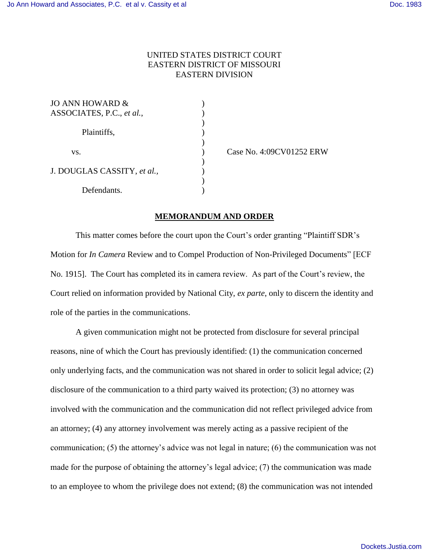## UNITED STATES DISTRICT COURT EASTERN DISTRICT OF MISSOURI EASTERN DIVISION

| JO ANN HOWARD &             |  |
|-----------------------------|--|
| ASSOCIATES, P.C., et al.,   |  |
|                             |  |
| Plaintiffs,                 |  |
|                             |  |
| VS.                         |  |
|                             |  |
| J. DOUGLAS CASSITY, et al., |  |
|                             |  |
| Defendants.                 |  |

) Case No. 4:09CV01252 ERW

## **MEMORANDUM AND ORDER**

This matter comes before the court upon the Court's order granting "Plaintiff SDR's Motion for *In Camera* Review and to Compel Production of Non-Privileged Documents" [ECF No. 1915]. The Court has completed its in camera review. As part of the Court's review, the Court relied on information provided by National City, *ex parte*, only to discern the identity and role of the parties in the communications.

A given communication might not be protected from disclosure for several principal reasons, nine of which the Court has previously identified: (1) the communication concerned only underlying facts, and the communication was not shared in order to solicit legal advice; (2) disclosure of the communication to a third party waived its protection; (3) no attorney was involved with the communication and the communication did not reflect privileged advice from an attorney; (4) any attorney involvement was merely acting as a passive recipient of the communication; (5) the attorney's advice was not legal in nature; (6) the communication was not made for the purpose of obtaining the attorney's legal advice; (7) the communication was made to an employee to whom the privilege does not extend; (8) the communication was not intended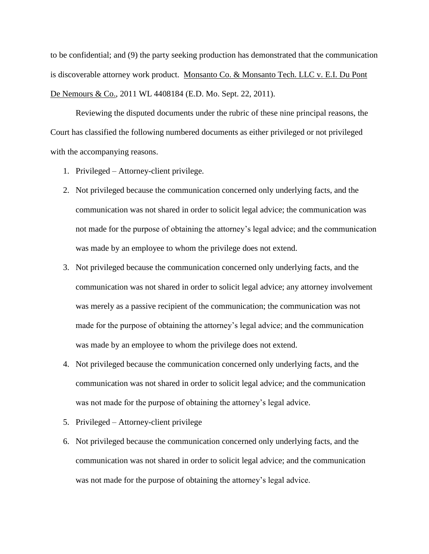to be confidential; and (9) the party seeking production has demonstrated that the communication is discoverable attorney work product. Monsanto Co. & Monsanto Tech. LLC v. E.I. Du Pont De Nemours & Co., 2011 WL 4408184 (E.D. Mo. Sept. 22, 2011).

Reviewing the disputed documents under the rubric of these nine principal reasons, the Court has classified the following numbered documents as either privileged or not privileged with the accompanying reasons.

- 1. Privileged Attorney-client privilege.
- 2. Not privileged because the communication concerned only underlying facts, and the communication was not shared in order to solicit legal advice; the communication was not made for the purpose of obtaining the attorney's legal advice; and the communication was made by an employee to whom the privilege does not extend.
- 3. Not privileged because the communication concerned only underlying facts, and the communication was not shared in order to solicit legal advice; any attorney involvement was merely as a passive recipient of the communication; the communication was not made for the purpose of obtaining the attorney's legal advice; and the communication was made by an employee to whom the privilege does not extend.
- 4. Not privileged because the communication concerned only underlying facts, and the communication was not shared in order to solicit legal advice; and the communication was not made for the purpose of obtaining the attorney's legal advice.
- 5. Privileged Attorney-client privilege
- 6. Not privileged because the communication concerned only underlying facts, and the communication was not shared in order to solicit legal advice; and the communication was not made for the purpose of obtaining the attorney's legal advice.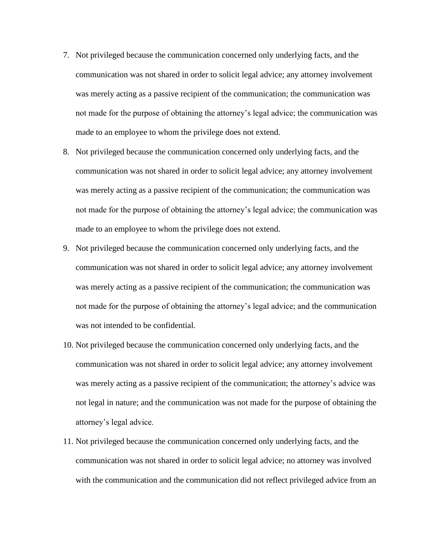- 7. Not privileged because the communication concerned only underlying facts, and the communication was not shared in order to solicit legal advice; any attorney involvement was merely acting as a passive recipient of the communication; the communication was not made for the purpose of obtaining the attorney's legal advice; the communication was made to an employee to whom the privilege does not extend.
- 8. Not privileged because the communication concerned only underlying facts, and the communication was not shared in order to solicit legal advice; any attorney involvement was merely acting as a passive recipient of the communication; the communication was not made for the purpose of obtaining the attorney's legal advice; the communication was made to an employee to whom the privilege does not extend.
- 9. Not privileged because the communication concerned only underlying facts, and the communication was not shared in order to solicit legal advice; any attorney involvement was merely acting as a passive recipient of the communication; the communication was not made for the purpose of obtaining the attorney's legal advice; and the communication was not intended to be confidential.
- 10. Not privileged because the communication concerned only underlying facts, and the communication was not shared in order to solicit legal advice; any attorney involvement was merely acting as a passive recipient of the communication; the attorney's advice was not legal in nature; and the communication was not made for the purpose of obtaining the attorney's legal advice.
- 11. Not privileged because the communication concerned only underlying facts, and the communication was not shared in order to solicit legal advice; no attorney was involved with the communication and the communication did not reflect privileged advice from an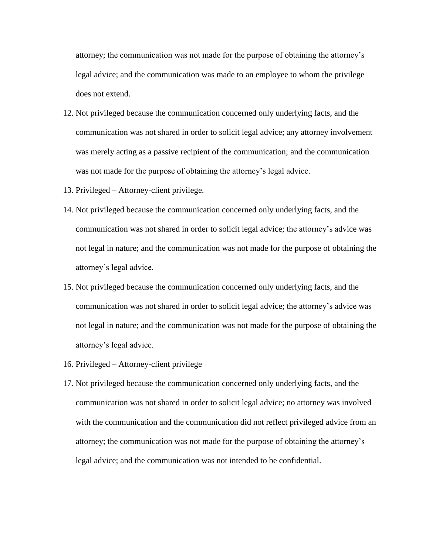attorney; the communication was not made for the purpose of obtaining the attorney's legal advice; and the communication was made to an employee to whom the privilege does not extend.

- 12. Not privileged because the communication concerned only underlying facts, and the communication was not shared in order to solicit legal advice; any attorney involvement was merely acting as a passive recipient of the communication; and the communication was not made for the purpose of obtaining the attorney's legal advice.
- 13. Privileged Attorney-client privilege.
- 14. Not privileged because the communication concerned only underlying facts, and the communication was not shared in order to solicit legal advice; the attorney's advice was not legal in nature; and the communication was not made for the purpose of obtaining the attorney's legal advice.
- 15. Not privileged because the communication concerned only underlying facts, and the communication was not shared in order to solicit legal advice; the attorney's advice was not legal in nature; and the communication was not made for the purpose of obtaining the attorney's legal advice.
- 16. Privileged Attorney-client privilege
- 17. Not privileged because the communication concerned only underlying facts, and the communication was not shared in order to solicit legal advice; no attorney was involved with the communication and the communication did not reflect privileged advice from an attorney; the communication was not made for the purpose of obtaining the attorney's legal advice; and the communication was not intended to be confidential.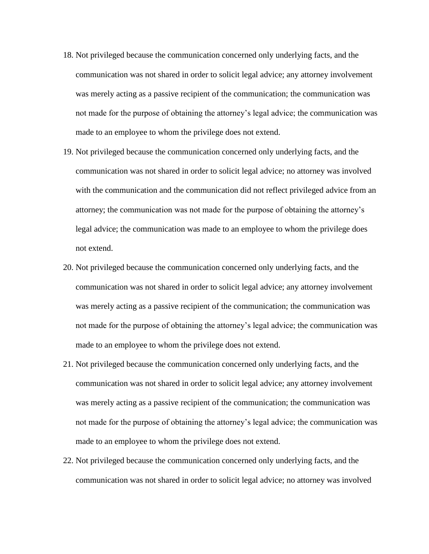- 18. Not privileged because the communication concerned only underlying facts, and the communication was not shared in order to solicit legal advice; any attorney involvement was merely acting as a passive recipient of the communication; the communication was not made for the purpose of obtaining the attorney's legal advice; the communication was made to an employee to whom the privilege does not extend.
- 19. Not privileged because the communication concerned only underlying facts, and the communication was not shared in order to solicit legal advice; no attorney was involved with the communication and the communication did not reflect privileged advice from an attorney; the communication was not made for the purpose of obtaining the attorney's legal advice; the communication was made to an employee to whom the privilege does not extend.
- 20. Not privileged because the communication concerned only underlying facts, and the communication was not shared in order to solicit legal advice; any attorney involvement was merely acting as a passive recipient of the communication; the communication was not made for the purpose of obtaining the attorney's legal advice; the communication was made to an employee to whom the privilege does not extend.
- 21. Not privileged because the communication concerned only underlying facts, and the communication was not shared in order to solicit legal advice; any attorney involvement was merely acting as a passive recipient of the communication; the communication was not made for the purpose of obtaining the attorney's legal advice; the communication was made to an employee to whom the privilege does not extend.
- 22. Not privileged because the communication concerned only underlying facts, and the communication was not shared in order to solicit legal advice; no attorney was involved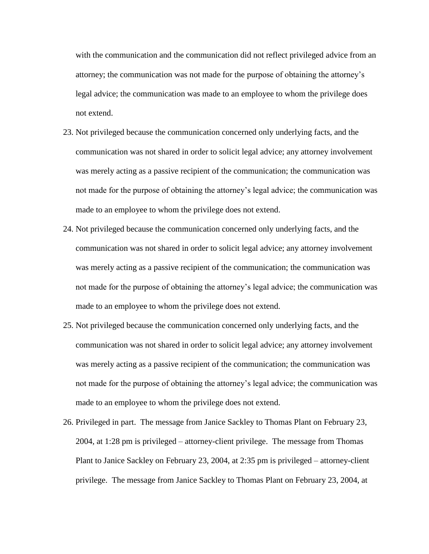with the communication and the communication did not reflect privileged advice from an attorney; the communication was not made for the purpose of obtaining the attorney's legal advice; the communication was made to an employee to whom the privilege does not extend.

- 23. Not privileged because the communication concerned only underlying facts, and the communication was not shared in order to solicit legal advice; any attorney involvement was merely acting as a passive recipient of the communication; the communication was not made for the purpose of obtaining the attorney's legal advice; the communication was made to an employee to whom the privilege does not extend.
- 24. Not privileged because the communication concerned only underlying facts, and the communication was not shared in order to solicit legal advice; any attorney involvement was merely acting as a passive recipient of the communication; the communication was not made for the purpose of obtaining the attorney's legal advice; the communication was made to an employee to whom the privilege does not extend.
- 25. Not privileged because the communication concerned only underlying facts, and the communication was not shared in order to solicit legal advice; any attorney involvement was merely acting as a passive recipient of the communication; the communication was not made for the purpose of obtaining the attorney's legal advice; the communication was made to an employee to whom the privilege does not extend.
- 26. Privileged in part. The message from Janice Sackley to Thomas Plant on February 23, 2004, at 1:28 pm is privileged – attorney-client privilege. The message from Thomas Plant to Janice Sackley on February 23, 2004, at 2:35 pm is privileged – attorney-client privilege. The message from Janice Sackley to Thomas Plant on February 23, 2004, at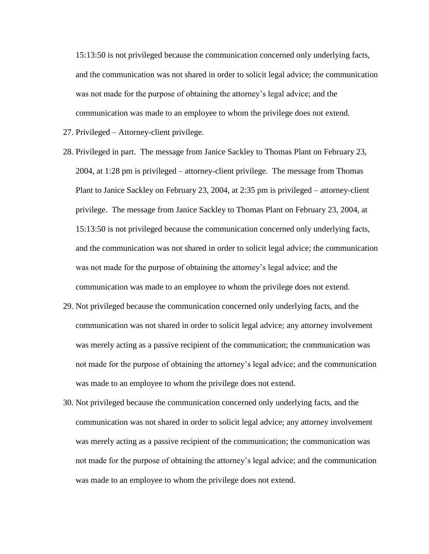15:13:50 is not privileged because the communication concerned only underlying facts, and the communication was not shared in order to solicit legal advice; the communication was not made for the purpose of obtaining the attorney's legal advice; and the communication was made to an employee to whom the privilege does not extend.

- 27. Privileged Attorney-client privilege.
- 28. Privileged in part. The message from Janice Sackley to Thomas Plant on February 23, 2004, at 1:28 pm is privileged – attorney-client privilege. The message from Thomas Plant to Janice Sackley on February 23, 2004, at 2:35 pm is privileged – attorney-client privilege. The message from Janice Sackley to Thomas Plant on February 23, 2004, at 15:13:50 is not privileged because the communication concerned only underlying facts, and the communication was not shared in order to solicit legal advice; the communication was not made for the purpose of obtaining the attorney's legal advice; and the communication was made to an employee to whom the privilege does not extend.
- 29. Not privileged because the communication concerned only underlying facts, and the communication was not shared in order to solicit legal advice; any attorney involvement was merely acting as a passive recipient of the communication; the communication was not made for the purpose of obtaining the attorney's legal advice; and the communication was made to an employee to whom the privilege does not extend.
- 30. Not privileged because the communication concerned only underlying facts, and the communication was not shared in order to solicit legal advice; any attorney involvement was merely acting as a passive recipient of the communication; the communication was not made for the purpose of obtaining the attorney's legal advice; and the communication was made to an employee to whom the privilege does not extend.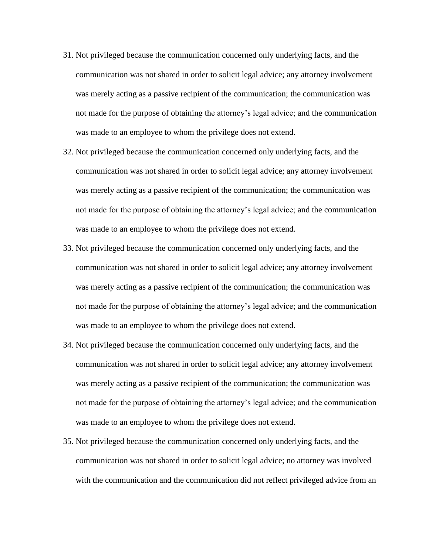- 31. Not privileged because the communication concerned only underlying facts, and the communication was not shared in order to solicit legal advice; any attorney involvement was merely acting as a passive recipient of the communication; the communication was not made for the purpose of obtaining the attorney's legal advice; and the communication was made to an employee to whom the privilege does not extend.
- 32. Not privileged because the communication concerned only underlying facts, and the communication was not shared in order to solicit legal advice; any attorney involvement was merely acting as a passive recipient of the communication; the communication was not made for the purpose of obtaining the attorney's legal advice; and the communication was made to an employee to whom the privilege does not extend.
- 33. Not privileged because the communication concerned only underlying facts, and the communication was not shared in order to solicit legal advice; any attorney involvement was merely acting as a passive recipient of the communication; the communication was not made for the purpose of obtaining the attorney's legal advice; and the communication was made to an employee to whom the privilege does not extend.
- 34. Not privileged because the communication concerned only underlying facts, and the communication was not shared in order to solicit legal advice; any attorney involvement was merely acting as a passive recipient of the communication; the communication was not made for the purpose of obtaining the attorney's legal advice; and the communication was made to an employee to whom the privilege does not extend.
- 35. Not privileged because the communication concerned only underlying facts, and the communication was not shared in order to solicit legal advice; no attorney was involved with the communication and the communication did not reflect privileged advice from an